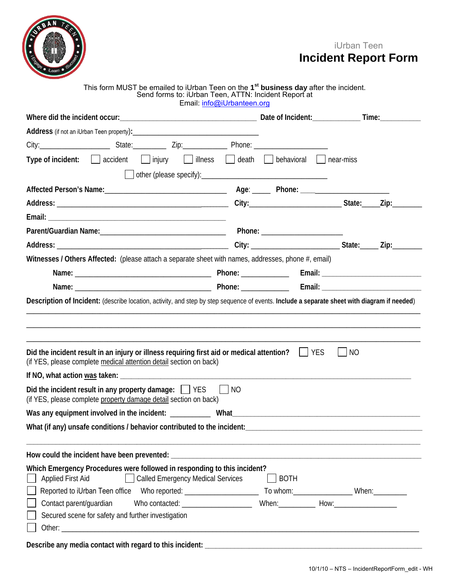

## iUrban Teen **Incident Report Form**

## This form MUST be emailed to iUrban Teen on the **1 st business day** after the incident. Send forms to: iUrban Teen, ATTN: Incident Report at

|                                                                                                                                                                                      | Email: info@iUrbanteen.org |             |  |
|--------------------------------------------------------------------------------------------------------------------------------------------------------------------------------------|----------------------------|-------------|--|
|                                                                                                                                                                                      |                            |             |  |
|                                                                                                                                                                                      |                            |             |  |
|                                                                                                                                                                                      |                            |             |  |
| Type of incident: $\Box$ accident $\Box$ injury $\Box$ illness $\Box$ death $\Box$ behavioral $\Box$ near-miss                                                                       |                            |             |  |
|                                                                                                                                                                                      |                            |             |  |
|                                                                                                                                                                                      |                            |             |  |
|                                                                                                                                                                                      |                            |             |  |
|                                                                                                                                                                                      |                            |             |  |
|                                                                                                                                                                                      |                            |             |  |
|                                                                                                                                                                                      |                            |             |  |
| Witnesses / Others Affected: (please attach a separate sheet with names, addresses, phone #, email)                                                                                  |                            |             |  |
|                                                                                                                                                                                      |                            |             |  |
|                                                                                                                                                                                      |                            |             |  |
| Description of Incident: (describe location, activity, and step by step sequence of events. Include a separate sheet with diagram if needed)                                         |                            |             |  |
| Did the incident result in an injury or illness requiring first aid or medical attention? $\Box$ YES $\Box$ NO<br>(if YES, please complete medical attention detail section on back) |                            |             |  |
| Did the incident result in any property damage: $\Box$ YES                                                                                                                           | $\vert$ $\vert$ NO         |             |  |
| (if YES, please complete property damage detail section on back)                                                                                                                     |                            |             |  |
|                                                                                                                                                                                      |                            |             |  |
| What (if any) unsafe conditions / behavior contributed to the incident:                                                                                                              |                            |             |  |
|                                                                                                                                                                                      |                            |             |  |
|                                                                                                                                                                                      |                            |             |  |
| Which Emergency Procedures were followed in responding to this incident?<br>Called Emergency Medical Services<br><b>Applied First Aid</b>                                            |                            | $\Box$ BOTH |  |
|                                                                                                                                                                                      |                            |             |  |
| Contact parent/guardian                                                                                                                                                              |                            |             |  |
| Secured scene for safety and further investigation                                                                                                                                   |                            |             |  |
|                                                                                                                                                                                      |                            |             |  |
|                                                                                                                                                                                      |                            |             |  |